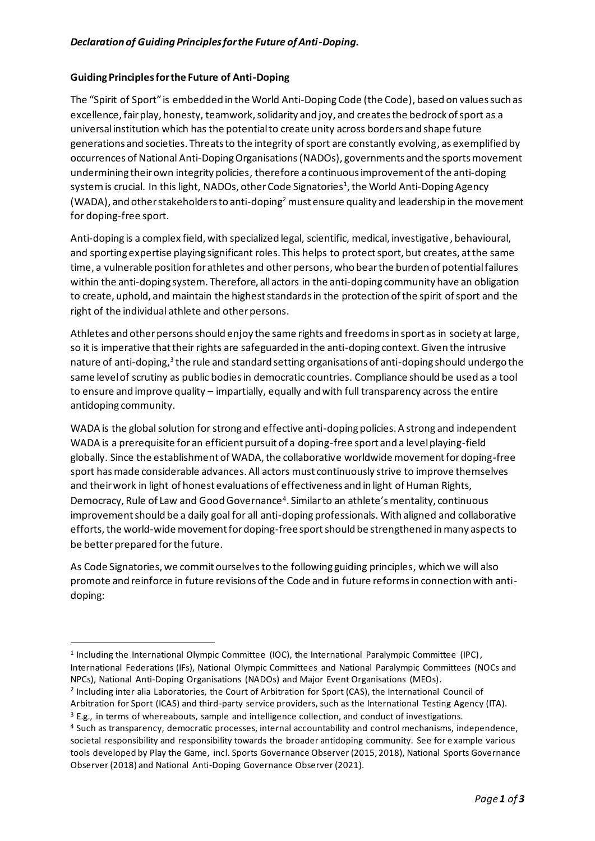## **Guiding Principles for the Future of Anti-Doping**

The "Spirit of Sport" is embedded in the World Anti-Doping Code (the Code), based on values such as excellence, fair play, honesty, teamwork, solidarity and joy, and creates the bedrock of sport as a universal institution which has the potential to create unity across borders and shape future generations and societies. Threats to the integrity of sport are constantly evolving, as exemplified by occurrences of National Anti-Doping Organisations(NADOs), governments and the sports movement undermining their own integrity policies, therefore a continuous improvement of the anti-doping system is crucial. In this light, NADOs, other Code Signatories**<sup>1</sup>** , the World Anti-Doping Agency (WADA), and other stakeholders to anti-doping<sup>2</sup> must ensure quality and leadership in the movement for doping-free sport.

Anti-doping is a complex field, with specialized legal, scientific, medical, investigative, behavioural, and sporting expertise playing significant roles. This helps to protect sport, but creates, at the same time, a vulnerable position for athletes and other persons, who bear the burden of potential failures within the anti-doping system. Therefore, all actors in the anti-doping community have an obligation to create, uphold, and maintain the highest standards in the protection of the spirit of sport and the right of the individual athlete and other persons.

Athletes and other persons should enjoy the same rights and freedoms in sport as in society at large, so it is imperative that their rights are safeguarded in the anti-doping context. Given the intrusive nature of anti-doping,<sup>3</sup> the rule and standard setting organisations of anti-doping should undergo the same level of scrutiny as public bodies in democratic countries. Compliance should be used as a tool to ensure and improve quality – impartially, equally and with full transparency across the entire antidoping community.

WADA is the global solution for strong and effective anti-doping policies. A strong and independent WADA is a prerequisite for an efficient pursuit of a doping-free sport and a level playing-field globally. Since the establishment of WADA, the collaborative worldwide movement for doping-free sport has made considerable advances. All actors must continuously strive to improve themselves and their work in light of honest evaluations of effectiveness and in light of Human Rights, Democracy, Rule of Law and Good Governance<sup>4</sup>. Similar to an athlete's mentality, continuous improvement should be a daily goal for all anti-doping professionals. With aligned and collaborative efforts, the world-wide movement for doping-free sport should be strengthened in many aspects to be better prepared for the future.

As Code Signatories, we commit ourselves to the following guiding principles, which we will also promote and reinforce in future revisions of the Code and in future reforms in connection with antidoping:

<sup>2</sup> Including inter alia Laboratories, the Court of Arbitration for Sport (CAS), the International Council of Arbitration for Sport (ICAS) and third-party service providers, such as the International Testing Agency (ITA).  $3$  E.g., in terms of whereabouts, sample and intelligence collection, and conduct of investigations.

Observer (2018) and National Anti-Doping Governance Observer (2021).

<sup>&</sup>lt;sup>1</sup> Including the International Olympic Committee (IOC), the International Paralympic Committee (IPC), International Federations (IFs), National Olympic Committees and National Paralympic Committees (NOCs and NPCs), National Anti-Doping Organisations (NADOs) and Major Event Organisations (MEOs).

<sup>4</sup> Such as transparency, democratic processes, internal accountability and control mechanisms, independence, societal responsibility and responsibility towards the broader antidoping community. See for e xample various tools developed by Play the Game, incl. Sports Governance Observer (2015, 2018), National Sports Governance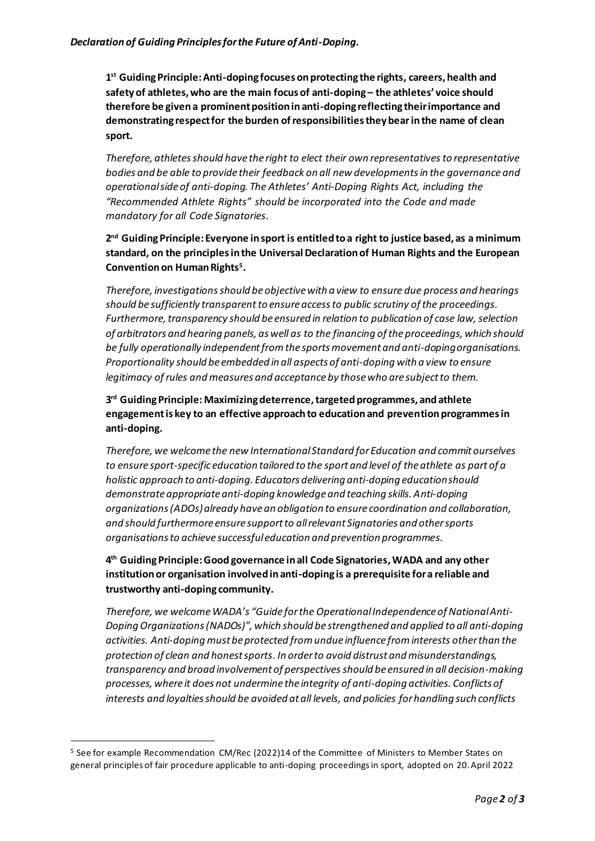**1 st Guiding Principle: Anti-doping focuses on protecting the rights, careers, health and safety of athletes, who are the main focus of anti-doping – the athletes' voice should therefore be given a prominent position in anti-doping reflecting their importance and demonstrating respect for the burden of responsibilities they bearin the name of clean sport.**

*Therefore, athletes should have the right to elect their own representativesto representative bodies and be able to provide their feedback on all new developmentsin the governance and operational side of anti-doping. The Athletes' Anti-Doping Rights Act, including the "Recommended Athlete Rights" should be incorporated into the Code and made mandatory for all Code Signatories.*

## **2 nd Guiding Principle: Everyone in sport is entitled to a right to justice based, as a minimum standard, on the principles in the Universal Declaration of Human Rights and the European Convention on Human Rights<sup>5</sup> .**

*Therefore, investigations should be objective with a view to ensure due process and hearings should be sufficiently transparent to ensure access to public scrutiny of the proceedings. Furthermore, transparency should be ensured in relation to publication of case law, selection of arbitrators and hearing panels, as well as to the financing of the proceedings, which should be fully operationally independent from the sports movement and anti-doping organisations. Proportionality should be embedded in all aspects of anti-doping with a view to ensure legitimacy of rules and measures and acceptance by those who are subject to them.*

**3 rd Guiding Principle: Maximizing deterrence, targeted programmes, and athlete engagement is key to an effective approach to education and prevention programmes in anti-doping.** 

*Therefore, we welcome the new International Standard for Education and commit ourselves to ensure sport-specific education tailored to the sport and level of the athlete as part of a holistic approach to anti-doping. Educators delivering anti-doping education should demonstrate appropriate anti-doping knowledge and teaching skills. Anti-doping organizations (ADOs)already have an obligation to ensure coordination and collaboration, and should furthermore ensure support to all relevant Signatories and other sports organisations to achieve successful education and prevention programmes.* 

**4 th Guiding Principle: Good governance in all Code Signatories,WADA and any other institution or organisation involved in anti-doping is a prerequisite for a reliable and trustworthy anti-doping community.**

*Therefore, we welcome WADA's "Guide for the Operational Independence of National Anti-Doping Organizations (NADOs)", which should be strengthened and applied to all anti-doping activities. Anti-doping must be protected from undue influence from interests other than the protection of clean and honest sports. In order to avoid distrust and misunderstandings, transparency and broad involvement of perspectives should be ensured in all decision-making processes, where it does not undermine the integrity of anti-doping activities. Conflicts of interests and loyalties should be avoided at all levels, and policies for handling such conflicts* 

<sup>5</sup> See for example Recommendation CM/Rec (2022)14 of the Committee of Ministers to Member States on general principles of fair procedure applicable to anti-doping proceedings in sport, adopted on 20. April 2022